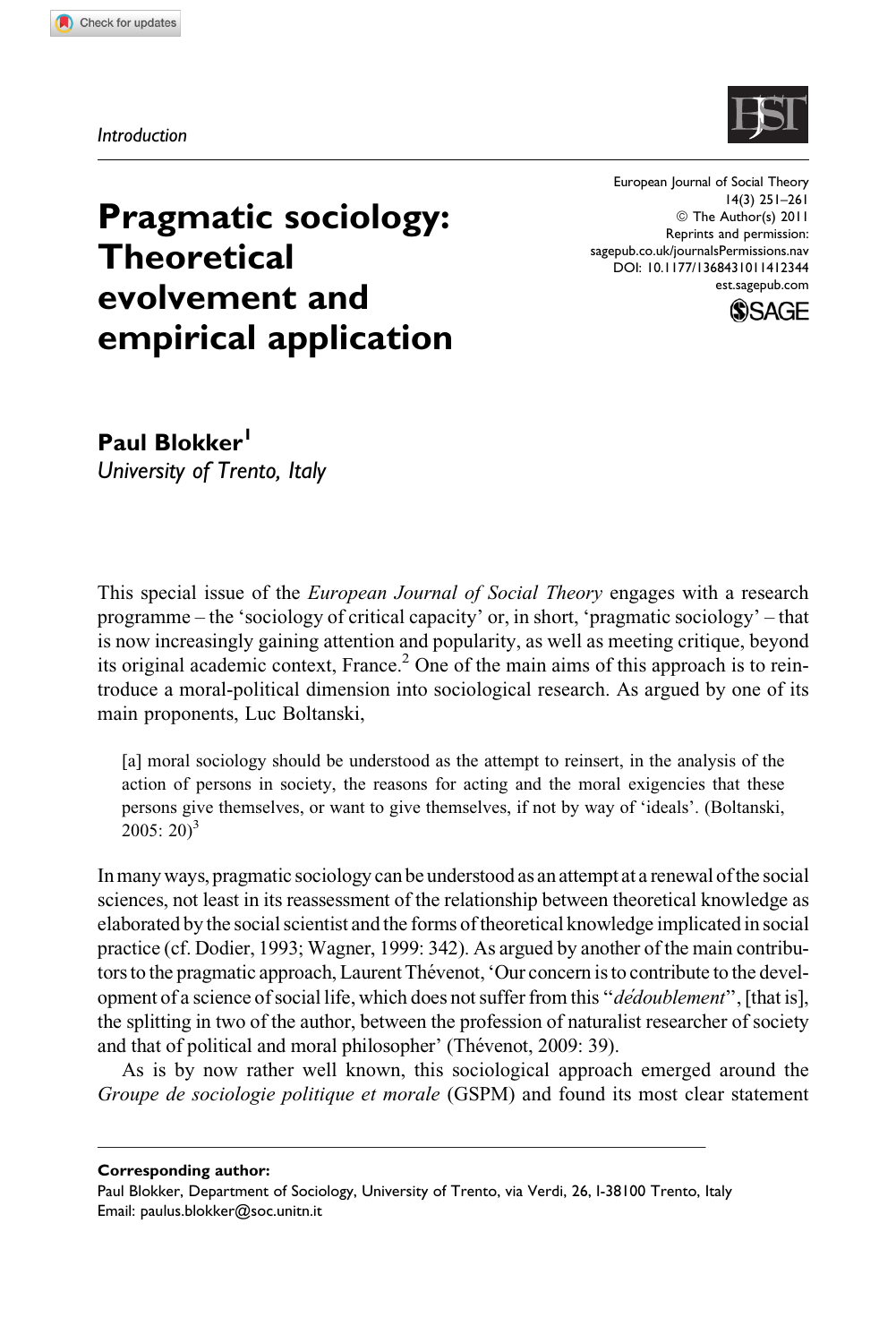Introduction



# Pragmatic sociology: **Theoretical** evolvement and empirical application

European Journal of Social Theory 14(3) 251–261 © The Author(s) 2011 Reprints and permission: sagepub.co.uk/journalsPermissions.nav DOI: 10.1177/1368431011412344 est.sagepub.com



Paul Blokker<sup>1</sup> University of Trento, Italy

This special issue of the European Journal of Social Theory engages with a research programme – the 'sociology of critical capacity' or, in short, 'pragmatic sociology' – that is now increasingly gaining attention and popularity, as well as meeting critique, beyond its original academic context, France.<sup>2</sup> One of the main aims of this approach is to reintroduce a moral-political dimension into sociological research. As argued by one of its main proponents, Luc Boltanski,

[a] moral sociology should be understood as the attempt to reinsert, in the analysis of the action of persons in society, the reasons for acting and the moral exigencies that these persons give themselves, or want to give themselves, if not by way of 'ideals'. (Boltanski,  $2005: 20<sup>3</sup>$ 

Inmany ways, pragmatic sociology can be understood as an attempt at a renewal ofthe social sciences, not least in its reassessment of the relationship between theoretical knowledge as elaborated by the social scientist and the forms of theoretical knowledge implicated in social practice (cf. Dodier, 1993; Wagner, 1999: 342). As argued by another of the main contributors to the pragmatic approach, Laurent Thévenot, 'Our concern is to contribute to the development of a science of social life, which does not suffer from this "dedoublement", [that is], the splitting in two of the author, between the profession of naturalist researcher of society and that of political and moral philosopher' (Thévenot, 2009: 39).

As is by now rather well known, this sociological approach emerged around the Groupe de sociologie politique et morale (GSPM) and found its most clear statement

Corresponding author:

Paul Blokker, Department of Sociology, University of Trento, via Verdi, 26, I-38100 Trento, Italy Email: paulus.blokker@soc.unitn.it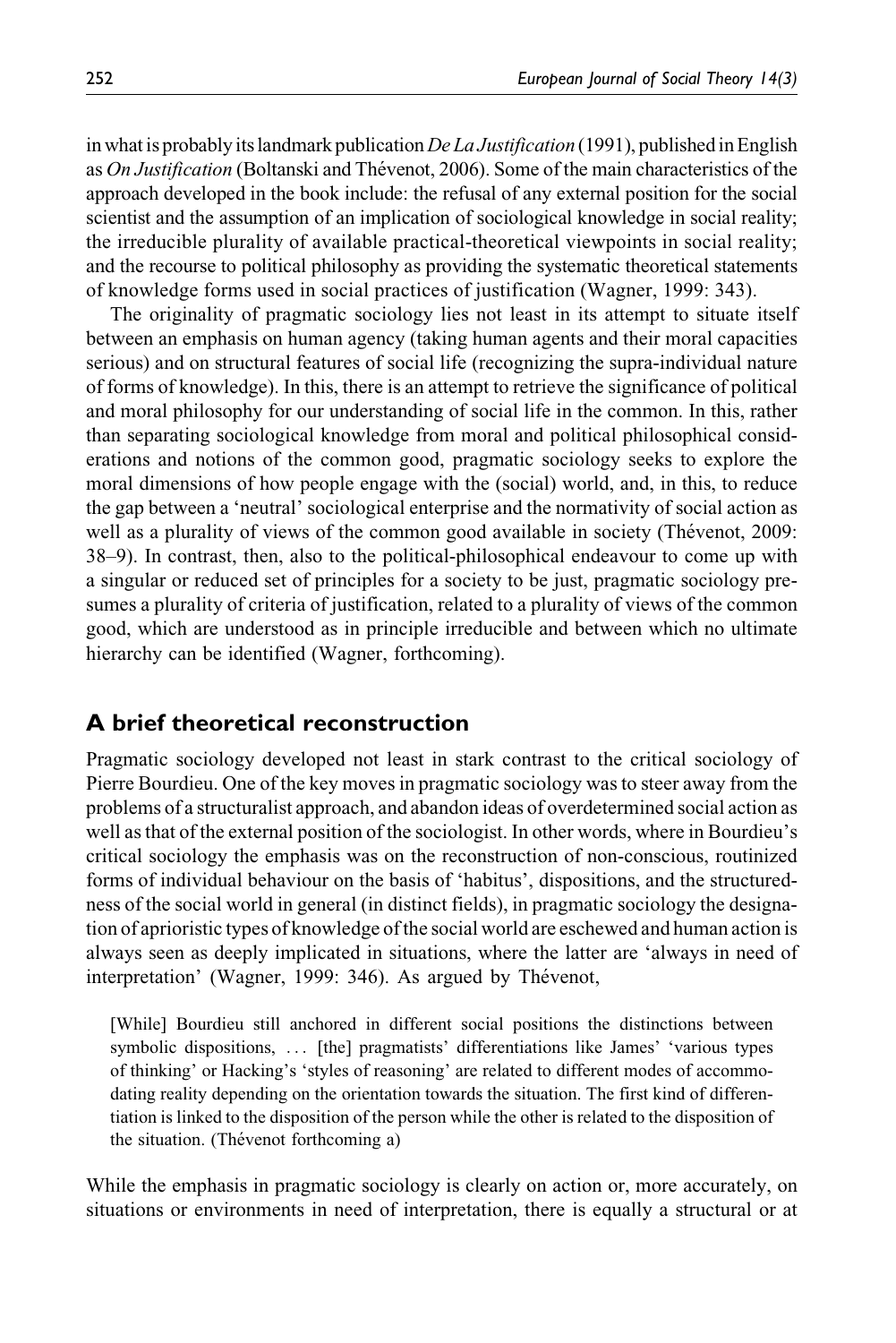in what is probably its landmark publication  $De La$  *Justification* (1991), published in English as On Justification (Boltanski and Thévenot, 2006). Some of the main characteristics of the approach developed in the book include: the refusal of any external position for the social scientist and the assumption of an implication of sociological knowledge in social reality; the irreducible plurality of available practical-theoretical viewpoints in social reality; and the recourse to political philosophy as providing the systematic theoretical statements of knowledge forms used in social practices of justification (Wagner, 1999: 343).

The originality of pragmatic sociology lies not least in its attempt to situate itself between an emphasis on human agency (taking human agents and their moral capacities serious) and on structural features of social life (recognizing the supra-individual nature of forms of knowledge). In this, there is an attempt to retrieve the significance of political and moral philosophy for our understanding of social life in the common. In this, rather than separating sociological knowledge from moral and political philosophical considerations and notions of the common good, pragmatic sociology seeks to explore the moral dimensions of how people engage with the (social) world, and, in this, to reduce the gap between a 'neutral' sociological enterprise and the normativity of social action as well as a plurality of views of the common good available in society (Thévenot, 2009: 38–9). In contrast, then, also to the political-philosophical endeavour to come up with a singular or reduced set of principles for a society to be just, pragmatic sociology presumes a plurality of criteria of justification, related to a plurality of views of the common good, which are understood as in principle irreducible and between which no ultimate hierarchy can be identified (Wagner, forthcoming).

# A brief theoretical reconstruction

Pragmatic sociology developed not least in stark contrast to the critical sociology of Pierre Bourdieu. One of the key moves in pragmatic sociology was to steer away from the problems of a structuralist approach, and abandon ideas of overdetermined social action as well as that of the external position of the sociologist. In other words, where in Bourdieu's critical sociology the emphasis was on the reconstruction of non-conscious, routinized forms of individual behaviour on the basis of 'habitus', dispositions, and the structuredness of the social world in general (in distinct fields), in pragmatic sociology the designation of aprioristic types of knowledge of the social world are eschewed and human action is always seen as deeply implicated in situations, where the latter are 'always in need of interpretation' (Wagner, 1999: 346). As argued by Thévenot,

[While] Bourdieu still anchored in different social positions the distinctions between symbolic dispositions, ... [the] pragmatists' differentiations like James' 'various types of thinking' or Hacking's 'styles of reasoning' are related to different modes of accommodating reality depending on the orientation towards the situation. The first kind of differentiation is linked to the disposition of the person while the other is related to the disposition of the situation. (Thévenot forthcoming a)

While the emphasis in pragmatic sociology is clearly on action or, more accurately, on situations or environments in need of interpretation, there is equally a structural or at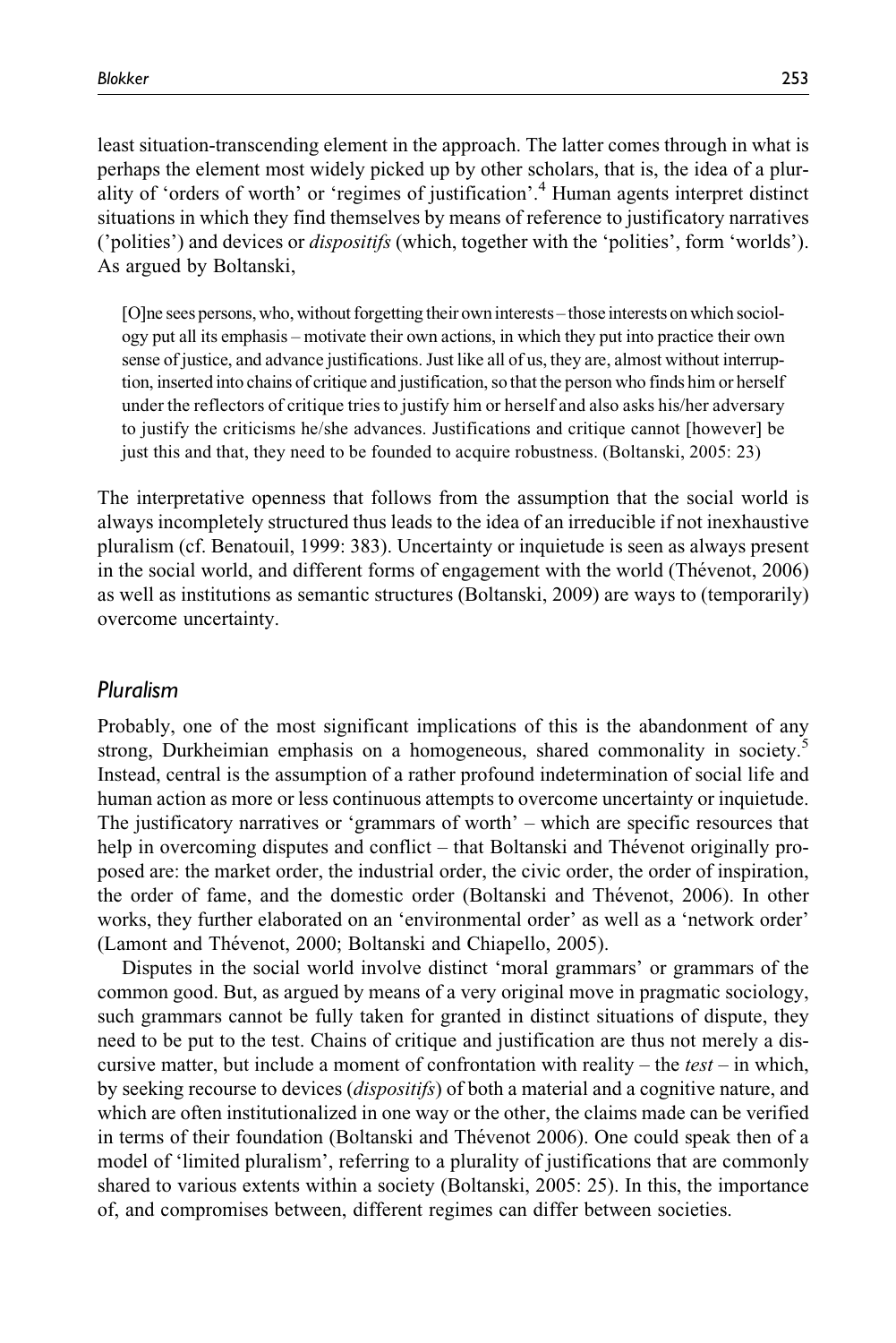least situation-transcending element in the approach. The latter comes through in what is perhaps the element most widely picked up by other scholars, that is, the idea of a plurality of 'orders of worth' or 'regimes of justification'.<sup>4</sup> Human agents interpret distinct situations in which they find themselves by means of reference to justificatory narratives ('polities') and devices or dispositifs (which, together with the 'polities', form 'worlds'). As argued by Boltanski,

[O]ne sees persons, who, without forgetting their own interests – those interests on which sociology put all its emphasis – motivate their own actions, in which they put into practice their own sense of justice, and advance justifications. Just like all of us, they are, almost without interruption, inserted into chains of critique and justification, so that the person who finds him or herself under the reflectors of critique tries to justify him or herself and also asks his/her adversary to justify the criticisms he/she advances. Justifications and critique cannot [however] be just this and that, they need to be founded to acquire robustness. (Boltanski, 2005: 23)

The interpretative openness that follows from the assumption that the social world is always incompletely structured thus leads to the idea of an irreducible if not inexhaustive pluralism (cf. Benatouil, 1999: 383). Uncertainty or inquietude is seen as always present in the social world, and different forms of engagement with the world (Thévenot, 2006) as well as institutions as semantic structures (Boltanski, 2009) are ways to (temporarily) overcome uncertainty.

## Pluralism

Probably, one of the most significant implications of this is the abandonment of any strong, Durkheimian emphasis on a homogeneous, shared commonality in society.<sup>5</sup> Instead, central is the assumption of a rather profound indetermination of social life and human action as more or less continuous attempts to overcome uncertainty or inquietude. The justificatory narratives or 'grammars of worth' – which are specific resources that help in overcoming disputes and conflict  $-$  that Boltanski and Thévenot originally proposed are: the market order, the industrial order, the civic order, the order of inspiration, the order of fame, and the domestic order (Boltanski and Thévenot, 2006). In other works, they further elaborated on an 'environmental order' as well as a 'network order' (Lamont and Thévenot, 2000; Boltanski and Chiapello, 2005).

Disputes in the social world involve distinct 'moral grammars' or grammars of the common good. But, as argued by means of a very original move in pragmatic sociology, such grammars cannot be fully taken for granted in distinct situations of dispute, they need to be put to the test. Chains of critique and justification are thus not merely a discursive matter, but include a moment of confrontation with reality – the test – in which, by seeking recourse to devices (dispositifs) of both a material and a cognitive nature, and which are often institutionalized in one way or the other, the claims made can be verified in terms of their foundation (Boltanski and Thévenot 2006). One could speak then of a model of 'limited pluralism', referring to a plurality of justifications that are commonly shared to various extents within a society (Boltanski, 2005: 25). In this, the importance of, and compromises between, different regimes can differ between societies.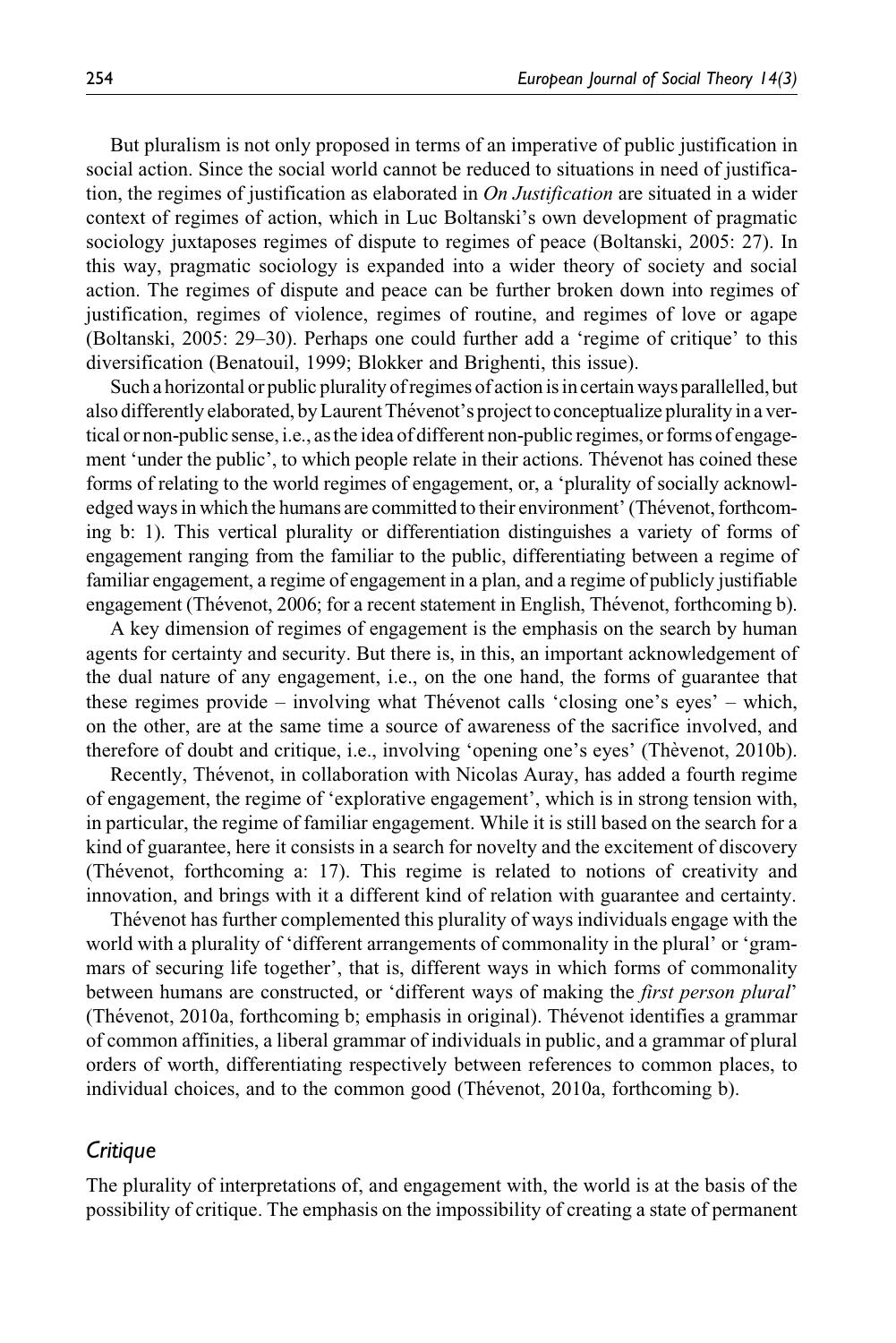But pluralism is not only proposed in terms of an imperative of public justification in social action. Since the social world cannot be reduced to situations in need of justification, the regimes of justification as elaborated in  $On$  Justification are situated in a wider context of regimes of action, which in Luc Boltanski's own development of pragmatic sociology juxtaposes regimes of dispute to regimes of peace (Boltanski, 2005: 27). In this way, pragmatic sociology is expanded into a wider theory of society and social action. The regimes of dispute and peace can be further broken down into regimes of justification, regimes of violence, regimes of routine, and regimes of love or agape (Boltanski, 2005: 29–30). Perhaps one could further add a 'regime of critique' to this diversification (Benatouil, 1999; Blokker and Brighenti, this issue).

Such a horizontal or public plurality of regimes of action is in certain ways parallelled, but also differently elaborated, by Laurent Thévenot's project to conceptualize plurality in a vertical or non-public sense,i.e., asthe idea of different non-public regimes, or forms of engagement 'under the public', to which people relate in their actions. The *venot* has coined these forms of relating to the world regimes of engagement, or, a 'plurality of socially acknowledged ways in which the humans are committed to their environment' (Thévenot, forthcoming b: 1). This vertical plurality or differentiation distinguishes a variety of forms of engagement ranging from the familiar to the public, differentiating between a regime of familiar engagement, a regime of engagement in a plan, and a regime of publicly justifiable engagement (Thévenot, 2006; for a recent statement in English, Thévenot, forthcoming b).

A key dimension of regimes of engagement is the emphasis on the search by human agents for certainty and security. But there is, in this, an important acknowledgement of the dual nature of any engagement, i.e., on the one hand, the forms of guarantee that these regimes provide – involving what Thévenot calls 'closing one's eyes' – which, on the other, are at the same time a source of awareness of the sacrifice involved, and therefore of doubt and critique, i.e., involving 'opening one's eyes' (The venot, 2010b).

Recently, Thévenot, in collaboration with Nicolas Auray, has added a fourth regime of engagement, the regime of 'explorative engagement', which is in strong tension with, in particular, the regime of familiar engagement. While it is still based on the search for a kind of guarantee, here it consists in a search for novelty and the excitement of discovery (The´venot, forthcoming a: 17). This regime is related to notions of creativity and innovation, and brings with it a different kind of relation with guarantee and certainty.

The *venot* has further complemented this plurality of ways individuals engage with the world with a plurality of 'different arrangements of commonality in the plural' or 'grammars of securing life together', that is, different ways in which forms of commonality between humans are constructed, or 'different ways of making the *first person plural*' (The´venot, 2010a, forthcoming b; emphasis in original). The´venot identifies a grammar of common affinities, a liberal grammar of individuals in public, and a grammar of plural orders of worth, differentiating respectively between references to common places, to individual choices, and to the common good (Thévenot, 2010a, forthcoming b).

# **Critique**

The plurality of interpretations of, and engagement with, the world is at the basis of the possibility of critique. The emphasis on the impossibility of creating a state of permanent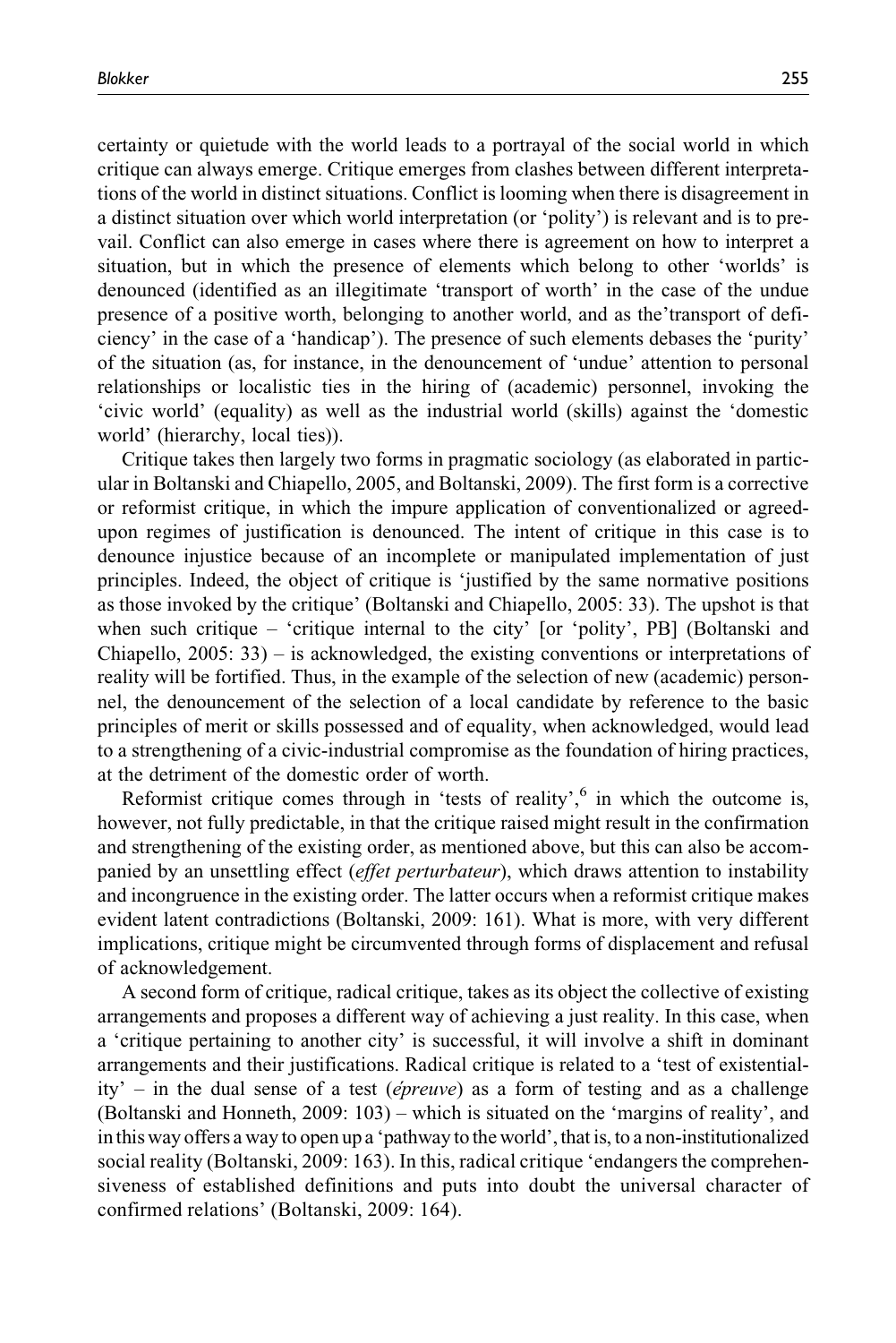certainty or quietude with the world leads to a portrayal of the social world in which critique can always emerge. Critique emerges from clashes between different interpretations of the world in distinct situations. Conflict is looming when there is disagreement in a distinct situation over which world interpretation (or 'polity') is relevant and is to prevail. Conflict can also emerge in cases where there is agreement on how to interpret a situation, but in which the presence of elements which belong to other 'worlds' is denounced (identified as an illegitimate 'transport of worth' in the case of the undue presence of a positive worth, belonging to another world, and as the'transport of deficiency' in the case of a 'handicap'). The presence of such elements debases the 'purity' of the situation (as, for instance, in the denouncement of 'undue' attention to personal relationships or localistic ties in the hiring of (academic) personnel, invoking the 'civic world' (equality) as well as the industrial world (skills) against the 'domestic world' (hierarchy, local ties)).

Critique takes then largely two forms in pragmatic sociology (as elaborated in particular in Boltanski and Chiapello, 2005, and Boltanski, 2009). The first form is a corrective or reformist critique, in which the impure application of conventionalized or agreedupon regimes of justification is denounced. The intent of critique in this case is to denounce injustice because of an incomplete or manipulated implementation of just principles. Indeed, the object of critique is 'justified by the same normative positions as those invoked by the critique' (Boltanski and Chiapello, 2005: 33). The upshot is that when such critique – 'critique internal to the city' [or 'polity', PB] (Boltanski and Chiapello, 2005: 33) – is acknowledged, the existing conventions or interpretations of reality will be fortified. Thus, in the example of the selection of new (academic) personnel, the denouncement of the selection of a local candidate by reference to the basic principles of merit or skills possessed and of equality, when acknowledged, would lead to a strengthening of a civic-industrial compromise as the foundation of hiring practices, at the detriment of the domestic order of worth.

Reformist critique comes through in 'tests of reality', $6$  in which the outcome is, however, not fully predictable, in that the critique raised might result in the confirmation and strengthening of the existing order, as mentioned above, but this can also be accompanied by an unsettling effect (*effet perturbateur*), which draws attention to instability and incongruence in the existing order. The latter occurs when a reformist critique makes evident latent contradictions (Boltanski, 2009: 161). What is more, with very different implications, critique might be circumvented through forms of displacement and refusal of acknowledgement.

A second form of critique, radical critique, takes as its object the collective of existing arrangements and proposes a different way of achieving a just reality. In this case, when a 'critique pertaining to another city' is successful, it will involve a shift in dominant arrangements and their justifications. Radical critique is related to a 'test of existentiality' – in the dual sense of a test (*épreuve*) as a form of testing and as a challenge (Boltanski and Honneth, 2009: 103) – which is situated on the 'margins of reality', and in this way offers a way to open up a 'pathwayto the world', that is, to a non-institutionalized social reality (Boltanski, 2009: 163). In this, radical critique 'endangers the comprehensiveness of established definitions and puts into doubt the universal character of confirmed relations' (Boltanski, 2009: 164).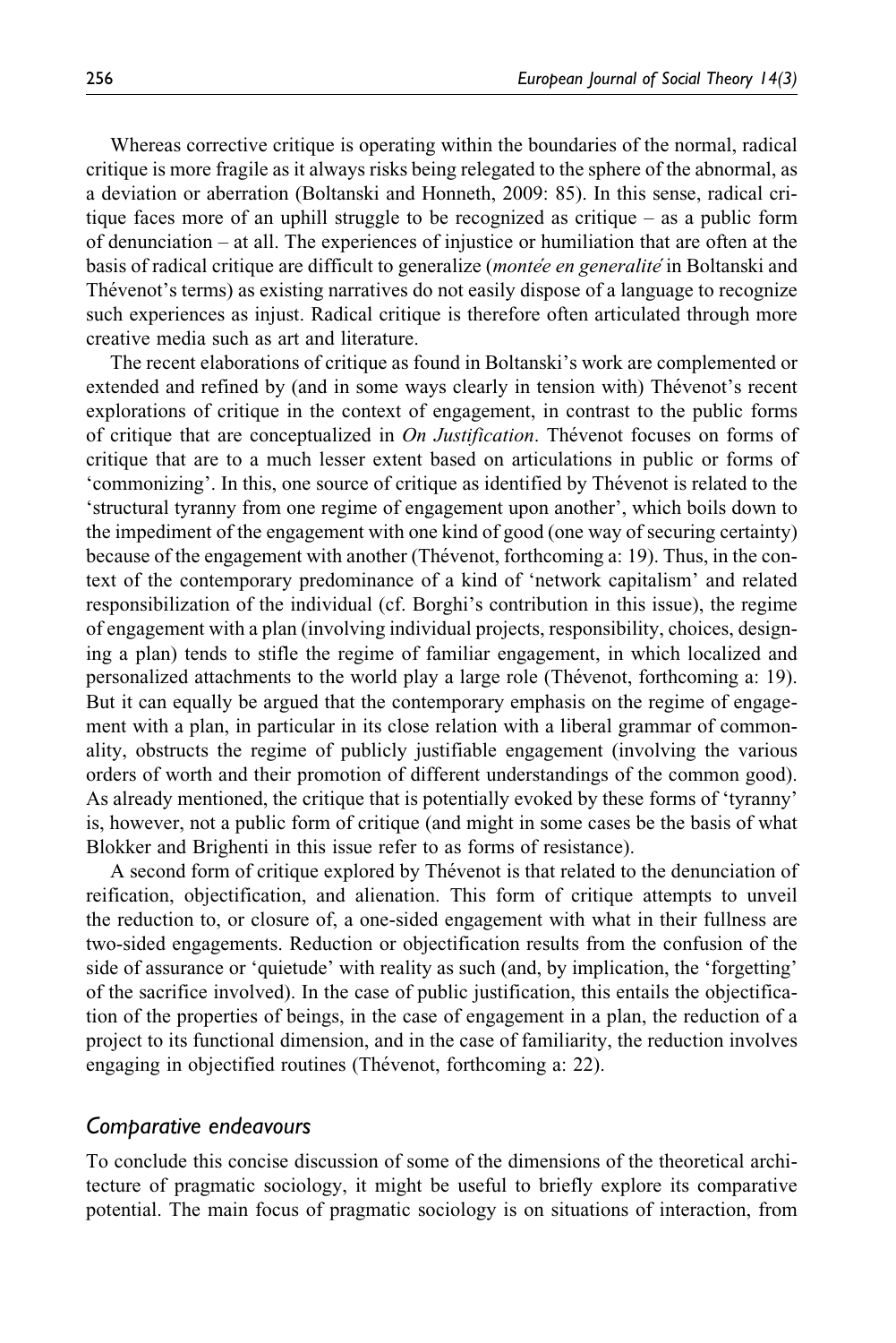Whereas corrective critique is operating within the boundaries of the normal, radical critique is more fragile as it always risks being relegated to the sphere of the abnormal, as a deviation or aberration (Boltanski and Honneth, 2009: 85). In this sense, radical critique faces more of an uphill struggle to be recognized as critique – as a public form of denunciation – at all. The experiences of injustice or humiliation that are often at the basis of radical critique are difficult to generalize (*montée en generalité* in Boltanski and The *venot*'s terms) as existing narratives do not easily dispose of a language to recognize such experiences as injust. Radical critique is therefore often articulated through more creative media such as art and literature.

The recent elaborations of critique as found in Boltanski's work are complemented or extended and refined by (and in some ways clearly in tension with) Thévenot's recent explorations of critique in the context of engagement, in contrast to the public forms of critique that are conceptualized in *On Justification*. The *venot* focuses on forms of critique that are to a much lesser extent based on articulations in public or forms of 'commonizing'. In this, one source of critique as identified by The´venot is related to the 'structural tyranny from one regime of engagement upon another', which boils down to the impediment of the engagement with one kind of good (one way of securing certainty) because of the engagement with another (Thévenot, forthcoming a: 19). Thus, in the context of the contemporary predominance of a kind of 'network capitalism' and related responsibilization of the individual (cf. Borghi's contribution in this issue), the regime of engagement with a plan (involving individual projects, responsibility, choices, designing a plan) tends to stifle the regime of familiar engagement, in which localized and personalized attachments to the world play a large role (The´venot, forthcoming a: 19). But it can equally be argued that the contemporary emphasis on the regime of engagement with a plan, in particular in its close relation with a liberal grammar of commonality, obstructs the regime of publicly justifiable engagement (involving the various orders of worth and their promotion of different understandings of the common good). As already mentioned, the critique that is potentially evoked by these forms of 'tyranny' is, however, not a public form of critique (and might in some cases be the basis of what Blokker and Brighenti in this issue refer to as forms of resistance).

A second form of critique explored by Thévenot is that related to the denunciation of reification, objectification, and alienation. This form of critique attempts to unveil the reduction to, or closure of, a one-sided engagement with what in their fullness are two-sided engagements. Reduction or objectification results from the confusion of the side of assurance or 'quietude' with reality as such (and, by implication, the 'forgetting' of the sacrifice involved). In the case of public justification, this entails the objectification of the properties of beings, in the case of engagement in a plan, the reduction of a project to its functional dimension, and in the case of familiarity, the reduction involves engaging in objectified routines (Thévenot, forthcoming a: 22).

### Comparative endeavours

To conclude this concise discussion of some of the dimensions of the theoretical architecture of pragmatic sociology, it might be useful to briefly explore its comparative potential. The main focus of pragmatic sociology is on situations of interaction, from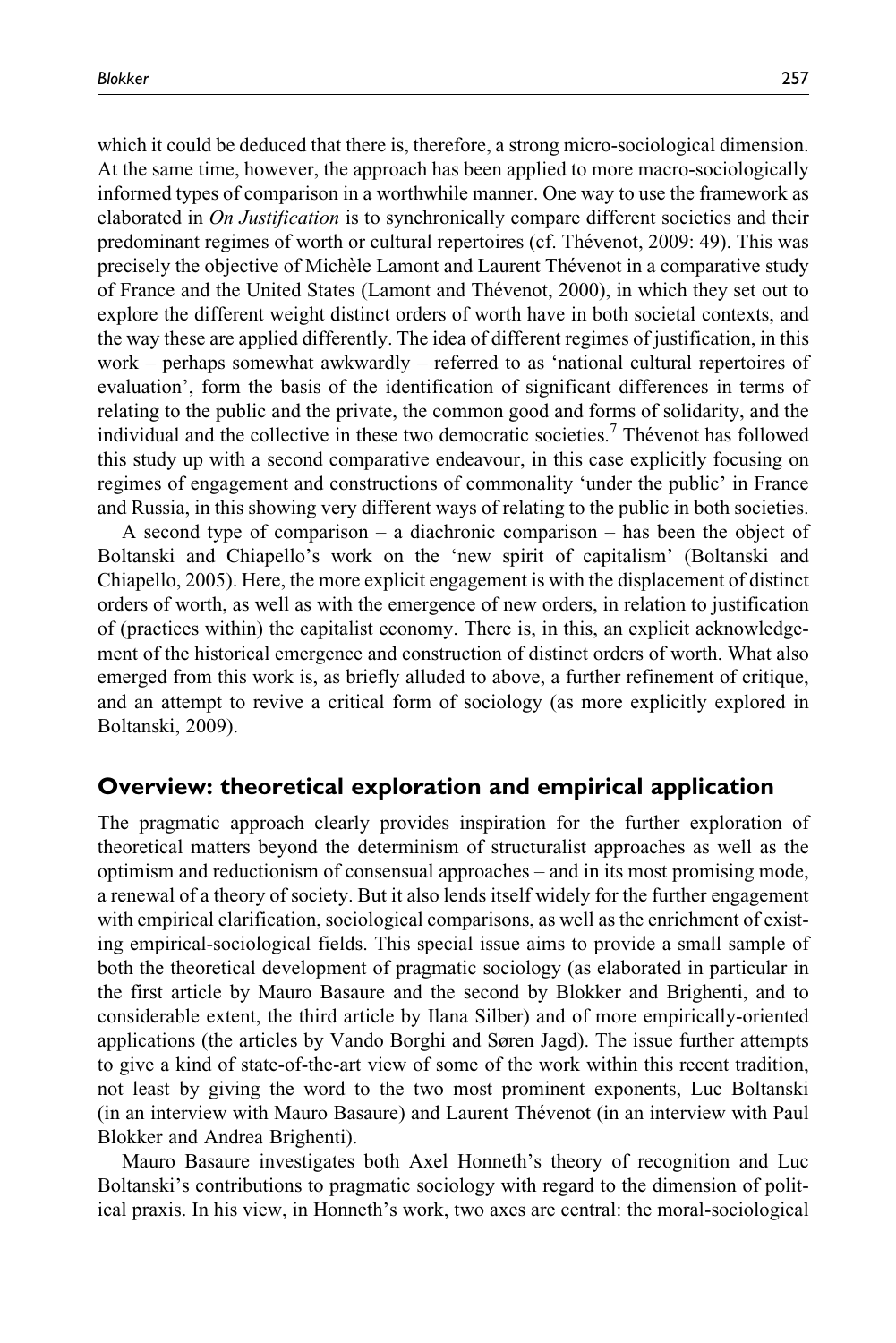which it could be deduced that there is, therefore, a strong micro-sociological dimension. At the same time, however, the approach has been applied to more macro-sociologically informed types of comparison in a worthwhile manner. One way to use the framework as elaborated in On Justification is to synchronically compare different societies and their predominant regimes of worth or cultural repertoires (cf. The´venot, 2009: 49). This was precisely the objective of Michèle Lamont and Laurent Thévenot in a comparative study of France and the United States (Lamont and The´venot, 2000), in which they set out to explore the different weight distinct orders of worth have in both societal contexts, and the way these are applied differently. The idea of different regimes of justification, in this work – perhaps somewhat awkwardly – referred to as 'national cultural repertoires of evaluation', form the basis of the identification of significant differences in terms of relating to the public and the private, the common good and forms of solidarity, and the individual and the collective in these two democratic societies.<sup>7</sup> Thévenot has followed this study up with a second comparative endeavour, in this case explicitly focusing on regimes of engagement and constructions of commonality 'under the public' in France and Russia, in this showing very different ways of relating to the public in both societies.

A second type of comparison – a diachronic comparison – has been the object of Boltanski and Chiapello's work on the 'new spirit of capitalism' (Boltanski and Chiapello, 2005). Here, the more explicit engagement is with the displacement of distinct orders of worth, as well as with the emergence of new orders, in relation to justification of (practices within) the capitalist economy. There is, in this, an explicit acknowledgement of the historical emergence and construction of distinct orders of worth. What also emerged from this work is, as briefly alluded to above, a further refinement of critique, and an attempt to revive a critical form of sociology (as more explicitly explored in Boltanski, 2009).

# Overview: theoretical exploration and empirical application

The pragmatic approach clearly provides inspiration for the further exploration of theoretical matters beyond the determinism of structuralist approaches as well as the optimism and reductionism of consensual approaches – and in its most promising mode, a renewal of a theory of society. But it also lends itself widely for the further engagement with empirical clarification, sociological comparisons, as well as the enrichment of existing empirical-sociological fields. This special issue aims to provide a small sample of both the theoretical development of pragmatic sociology (as elaborated in particular in the first article by Mauro Basaure and the second by Blokker and Brighenti, and to considerable extent, the third article by Ilana Silber) and of more empirically-oriented applications (the articles by Vando Borghi and Søren Jagd). The issue further attempts to give a kind of state-of-the-art view of some of the work within this recent tradition, not least by giving the word to the two most prominent exponents, Luc Boltanski (in an interview with Mauro Basaure) and Laurent The´venot (in an interview with Paul Blokker and Andrea Brighenti).

Mauro Basaure investigates both Axel Honneth's theory of recognition and Luc Boltanski's contributions to pragmatic sociology with regard to the dimension of political praxis. In his view, in Honneth's work, two axes are central: the moral-sociological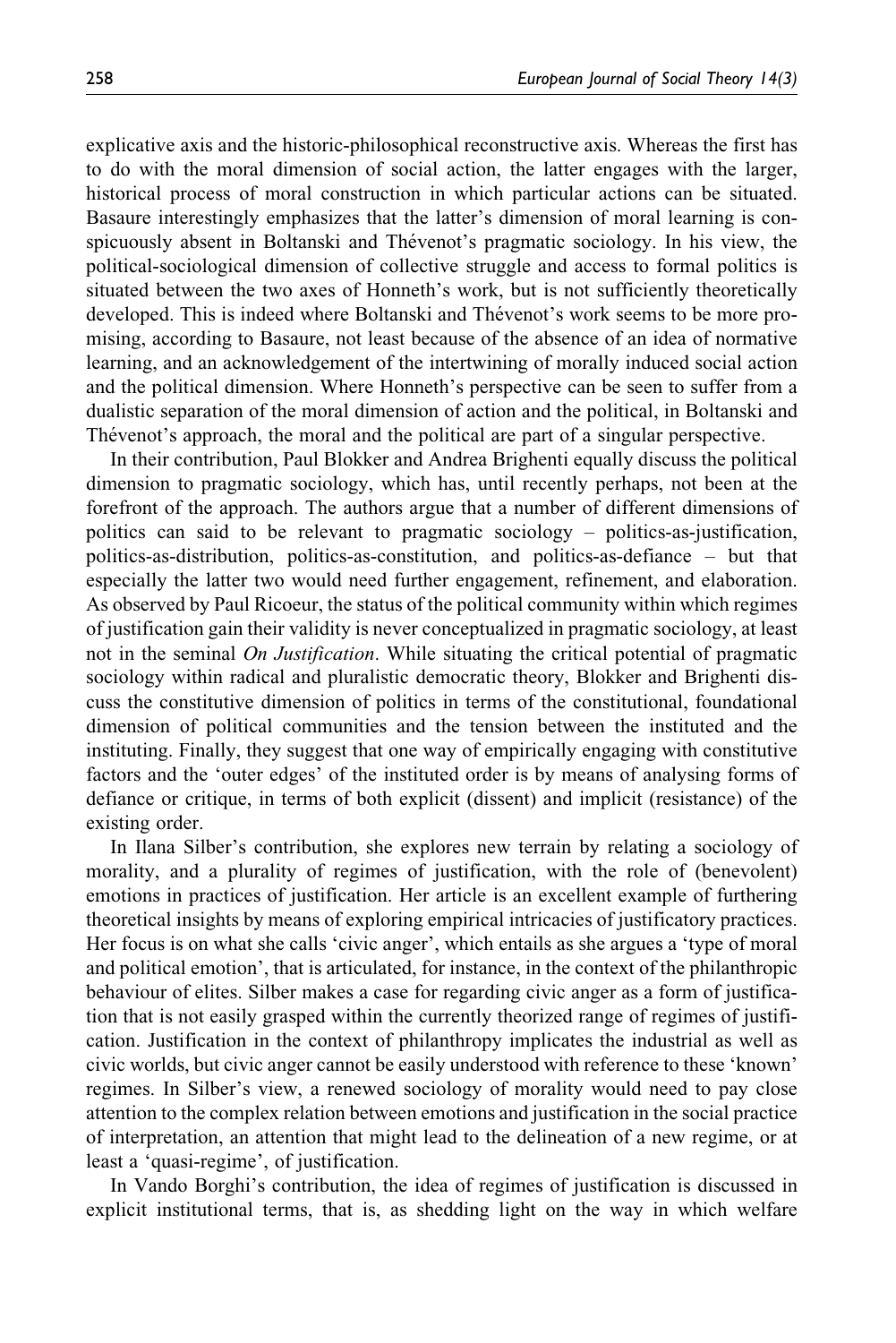explicative axis and the historic-philosophical reconstructive axis. Whereas the first has to do with the moral dimension of social action, the latter engages with the larger, historical process of moral construction in which particular actions can be situated. Basaure interestingly emphasizes that the latter's dimension of moral learning is conspicuously absent in Boltanski and Thévenot's pragmatic sociology. In his view, the political-sociological dimension of collective struggle and access to formal politics is situated between the two axes of Honneth's work, but is not sufficiently theoretically developed. This is indeed where Boltanski and Thévenot's work seems to be more promising, according to Basaure, not least because of the absence of an idea of normative learning, and an acknowledgement of the intertwining of morally induced social action and the political dimension. Where Honneth's perspective can be seen to suffer from a dualistic separation of the moral dimension of action and the political, in Boltanski and The *venot*'s approach, the moral and the political are part of a singular perspective.

In their contribution, Paul Blokker and Andrea Brighenti equally discuss the political dimension to pragmatic sociology, which has, until recently perhaps, not been at the forefront of the approach. The authors argue that a number of different dimensions of politics can said to be relevant to pragmatic sociology – politics-as-justification, politics-as-distribution, politics-as-constitution, and politics-as-defiance – but that especially the latter two would need further engagement, refinement, and elaboration. As observed by Paul Ricoeur, the status of the political community within which regimes of justification gain their validity is never conceptualized in pragmatic sociology, at least not in the seminal *On Justification*. While situating the critical potential of pragmatic sociology within radical and pluralistic democratic theory, Blokker and Brighenti discuss the constitutive dimension of politics in terms of the constitutional, foundational dimension of political communities and the tension between the instituted and the instituting. Finally, they suggest that one way of empirically engaging with constitutive factors and the 'outer edges' of the instituted order is by means of analysing forms of defiance or critique, in terms of both explicit (dissent) and implicit (resistance) of the existing order.

In Ilana Silber's contribution, she explores new terrain by relating a sociology of morality, and a plurality of regimes of justification, with the role of (benevolent) emotions in practices of justification. Her article is an excellent example of furthering theoretical insights by means of exploring empirical intricacies of justificatory practices. Her focus is on what she calls 'civic anger', which entails as she argues a 'type of moral and political emotion', that is articulated, for instance, in the context of the philanthropic behaviour of elites. Silber makes a case for regarding civic anger as a form of justification that is not easily grasped within the currently theorized range of regimes of justification. Justification in the context of philanthropy implicates the industrial as well as civic worlds, but civic anger cannot be easily understood with reference to these 'known' regimes. In Silber's view, a renewed sociology of morality would need to pay close attention to the complex relation between emotions and justification in the social practice of interpretation, an attention that might lead to the delineation of a new regime, or at least a 'quasi-regime', of justification.

In Vando Borghi's contribution, the idea of regimes of justification is discussed in explicit institutional terms, that is, as shedding light on the way in which welfare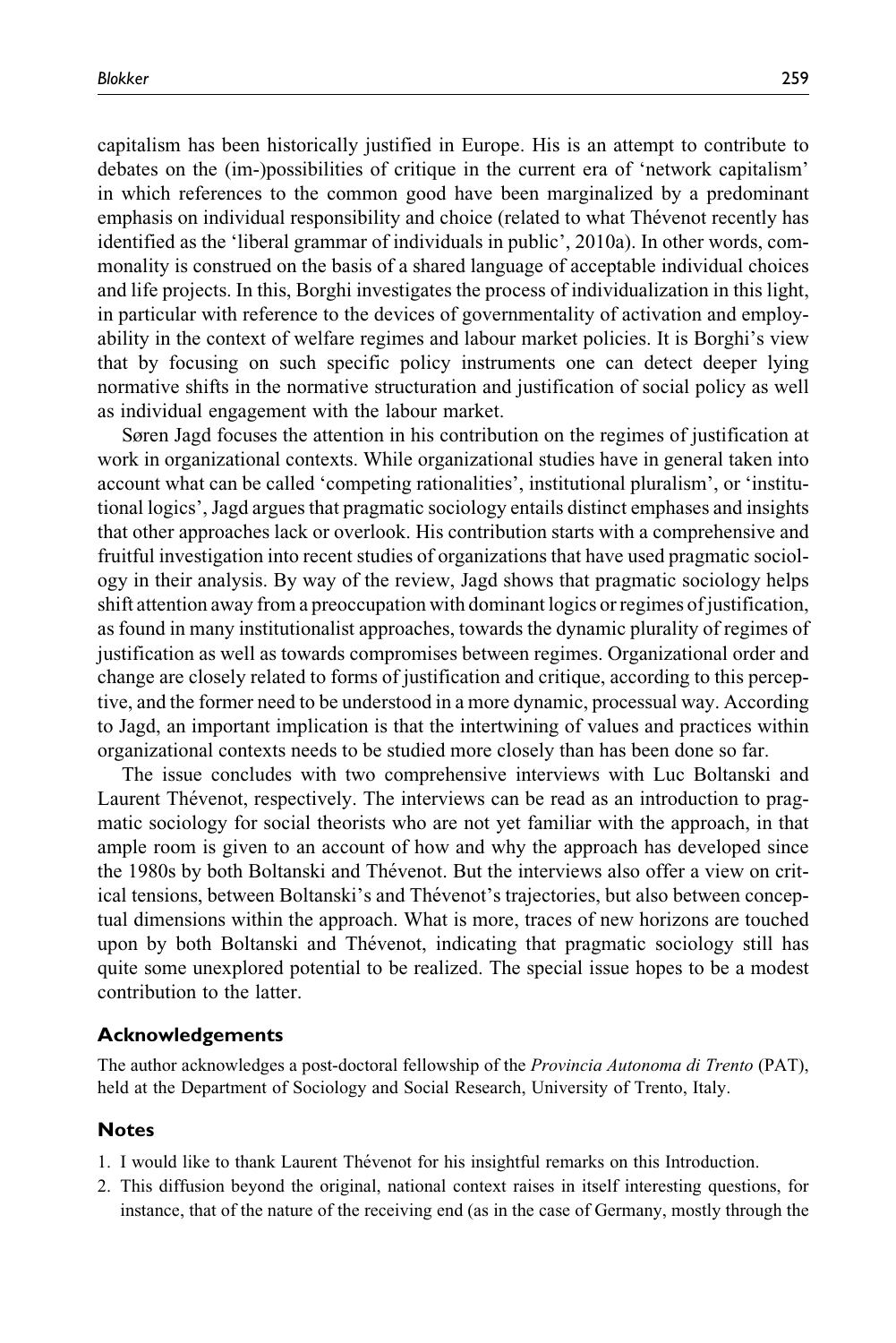capitalism has been historically justified in Europe. His is an attempt to contribute to debates on the (im-)possibilities of critique in the current era of 'network capitalism' in which references to the common good have been marginalized by a predominant emphasis on individual responsibility and choice (related to what Thévenot recently has identified as the 'liberal grammar of individuals in public', 2010a). In other words, commonality is construed on the basis of a shared language of acceptable individual choices and life projects. In this, Borghi investigates the process of individualization in this light, in particular with reference to the devices of governmentality of activation and employability in the context of welfare regimes and labour market policies. It is Borghi's view that by focusing on such specific policy instruments one can detect deeper lying normative shifts in the normative structuration and justification of social policy as well as individual engagement with the labour market.

Søren Jagd focuses the attention in his contribution on the regimes of justification at work in organizational contexts. While organizational studies have in general taken into account what can be called 'competing rationalities', institutional pluralism', or 'institutional logics', Jagd argues that pragmatic sociology entails distinct emphases and insights that other approaches lack or overlook. His contribution starts with a comprehensive and fruitful investigation into recent studies of organizations that have used pragmatic sociology in their analysis. By way of the review, Jagd shows that pragmatic sociology helps shift attention away from a preoccupation with dominant logics or regimes of justification, as found in many institutionalist approaches, towards the dynamic plurality of regimes of justification as well as towards compromises between regimes. Organizational order and change are closely related to forms of justification and critique, according to this perceptive, and the former need to be understood in a more dynamic, processual way. According to Jagd, an important implication is that the intertwining of values and practices within organizational contexts needs to be studied more closely than has been done so far.

The issue concludes with two comprehensive interviews with Luc Boltanski and Laurent Thévenot, respectively. The interviews can be read as an introduction to pragmatic sociology for social theorists who are not yet familiar with the approach, in that ample room is given to an account of how and why the approach has developed since the 1980s by both Boltanski and Thévenot. But the interviews also offer a view on critical tensions, between Boltanski's and Thévenot's trajectories, but also between conceptual dimensions within the approach. What is more, traces of new horizons are touched upon by both Boltanski and The´venot, indicating that pragmatic sociology still has quite some unexplored potential to be realized. The special issue hopes to be a modest contribution to the latter.

#### Acknowledgements

The author acknowledges a post-doctoral fellowship of the Provincia Autonoma di Trento (PAT), held at the Department of Sociology and Social Research, University of Trento, Italy.

#### **Notes**

- 1. I would like to thank Laurent The´venot for his insightful remarks on this Introduction.
- 2. This diffusion beyond the original, national context raises in itself interesting questions, for instance, that of the nature of the receiving end (as in the case of Germany, mostly through the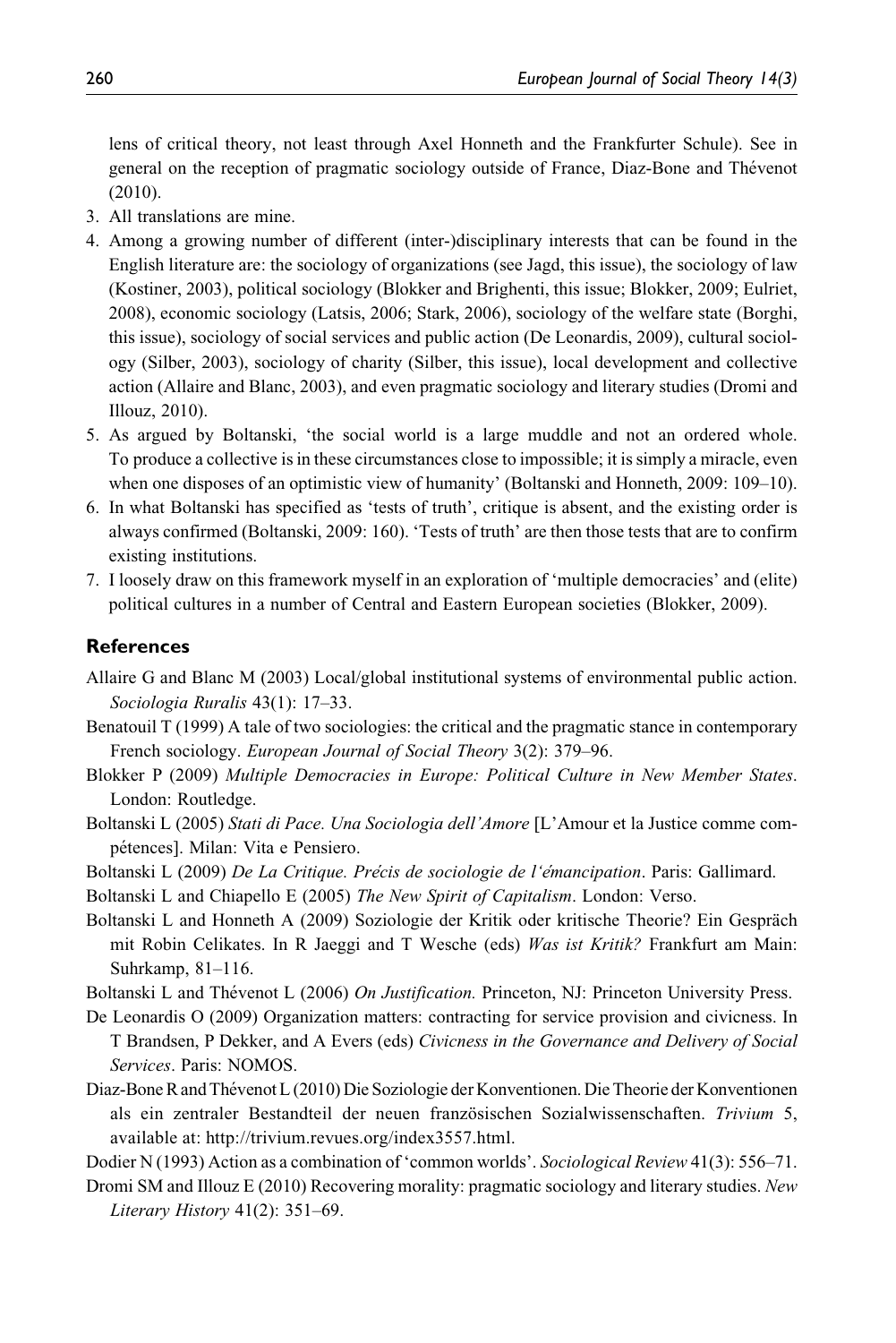lens of critical theory, not least through Axel Honneth and the Frankfurter Schule). See in general on the reception of pragmatic sociology outside of France, Diaz-Bone and The´venot (2010).

- 3. All translations are mine.
- 4. Among a growing number of different (inter-)disciplinary interests that can be found in the English literature are: the sociology of organizations (see Jagd, this issue), the sociology of law (Kostiner, 2003), political sociology (Blokker and Brighenti, this issue; Blokker, 2009; Eulriet, 2008), economic sociology (Latsis, 2006; Stark, 2006), sociology of the welfare state (Borghi, this issue), sociology of social services and public action (De Leonardis, 2009), cultural sociology (Silber, 2003), sociology of charity (Silber, this issue), local development and collective action (Allaire and Blanc, 2003), and even pragmatic sociology and literary studies (Dromi and Illouz, 2010).
- 5. As argued by Boltanski, 'the social world is a large muddle and not an ordered whole. To produce a collective is in these circumstances close to impossible; it is simply a miracle, even when one disposes of an optimistic view of humanity' (Boltanski and Honneth, 2009: 109–10).
- 6. In what Boltanski has specified as 'tests of truth', critique is absent, and the existing order is always confirmed (Boltanski, 2009: 160). 'Tests of truth' are then those tests that are to confirm existing institutions.
- 7. I loosely draw on this framework myself in an exploration of 'multiple democracies' and (elite) political cultures in a number of Central and Eastern European societies (Blokker, 2009).

#### **References**

- Allaire G and Blanc M (2003) Local/global institutional systems of environmental public action. Sociologia Ruralis 43(1): 17–33.
- Benatouil T (1999) A tale of two sociologies: the critical and the pragmatic stance in contemporary French sociology. European Journal of Social Theory 3(2): 379-96.
- Blokker P (2009) Multiple Democracies in Europe: Political Culture in New Member States. London: Routledge.
- Boltanski L (2005) Stati di Pace. Una Sociologia dell'Amore [L'Amour et la Justice comme compétences]. Milan: Vita e Pensiero.
- Boltanski L (2009) De La Critique. Précis de sociologie de l'émancipation. Paris: Gallimard.
- Boltanski L and Chiapello E (2005) The New Spirit of Capitalism. London: Verso.
- Boltanski L and Honneth A (2009) Soziologie der Kritik oder kritische Theorie? Ein Gespräch mit Robin Celikates. In R Jaeggi and T Wesche (eds) *Was ist Kritik*? Frankfurt am Main: Suhrkamp, 81–116.
- Boltanski L and Thévenot L (2006) On Justification. Princeton, NJ: Princeton University Press.
- De Leonardis O (2009) Organization matters: contracting for service provision and civicness. In T Brandsen, P Dekker, and A Evers (eds) Civicness in the Governance and Delivery of Social Services. Paris: NOMOS.
- Diaz-Bone R and Thévenot L (2010) Die Soziologie der Konventionen. Die Theorie der Konventionen als ein zentraler Bestandteil der neuen französischen Sozialwissenschaften. Trivium 5, available at: http://trivium.revues.org/index3557.html.
- Dodier N (1993) Action as a combination of 'common worlds'. Sociological Review 41(3): 556–71.
- Dromi SM and Illouz E (2010) Recovering morality: pragmatic sociology and literary studies. New Literary History 41(2): 351–69.